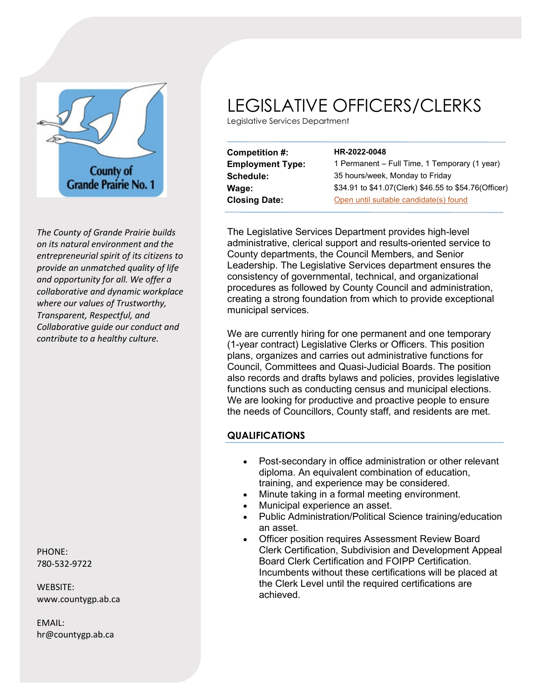

*The County of Grande Prairie builds on its natural environment and the entrepreneurial spirit of its citizens to provide an unmatched quality of life and opportunity for all. We offer a collaborative and dynamic workplace where our values of Trustworthy, Transparent, Respectful, and Collaborative guide our conduct and contribute to a healthy culture.*

PHONE: 780-532-9722

WEBSITE: www.countygp.ab.ca

EMAIL: hr@countygp.ab.ca

## LEGISLATIVE OFFICERS/CLERKS

Legislative Services Department

| Competition #:          | HR-2022-0048                                          |
|-------------------------|-------------------------------------------------------|
| <b>Employment Type:</b> | 1 Permanent - Full Time, 1 Temporary (1 year)         |
| Schedule:               | 35 hours/week, Monday to Friday                       |
| Wage:                   | \$34.91 to \$41.07(Clerk) \$46.55 to \$54.76(Officer) |
| <b>Closing Date:</b>    | Open until suitable candidate(s) found                |

The Legislative Services Department provides high-level administrative, clerical support and results-oriented service to County departments, the Council Members, and Senior Leadership. The Legislative Services department ensures the consistency of governmental, technical, and organizational procedures as followed by County Council and administration, creating a strong foundation from which to provide exceptional municipal services.

We are currently hiring for one permanent and one temporary (1-year contract) Legislative Clerks or Officers. This position plans, organizes and carries out administrative functions for Council, Committees and Quasi-Judicial Boards. The position also records and drafts bylaws and policies, provides legislative functions such as conducting census and municipal elections. We are looking for productive and proactive people to ensure the needs of Councillors, County staff, and residents are met.

## **QUALIFICATIONS**

- Post-secondary in office administration or other relevant diploma. An equivalent combination of education, training, and experience may be considered.
	- Minute taking in a formal meeting environment.
- Municipal experience an asset.
- Public Administration/Political Science training/education an asset.
- Officer position requires Assessment Review Board Clerk Certification, Subdivision and Development Appeal Board Clerk Certification and FOIPP Certification. Incumbents without these certifications will be placed at the Clerk Level until the required certifications are achieved.